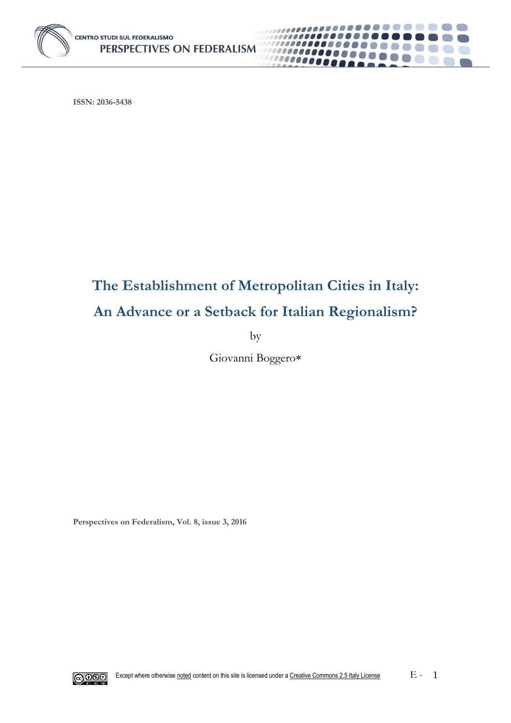

**ISSN: 2036-5438**

# **The Establishment of Metropolitan Cities in Italy: An Advance or a Setback for Italian Regionalism?**

. . . . . . . **.** 

 $\mathbb{R}^n$ 

6. 11

 $\mathcal{L}^{\text{max}}$ 

1000000000

00000000

by

Giovanni Boggero

**Perspectives on Federalism, Vol. 8, issue 3, 2016**

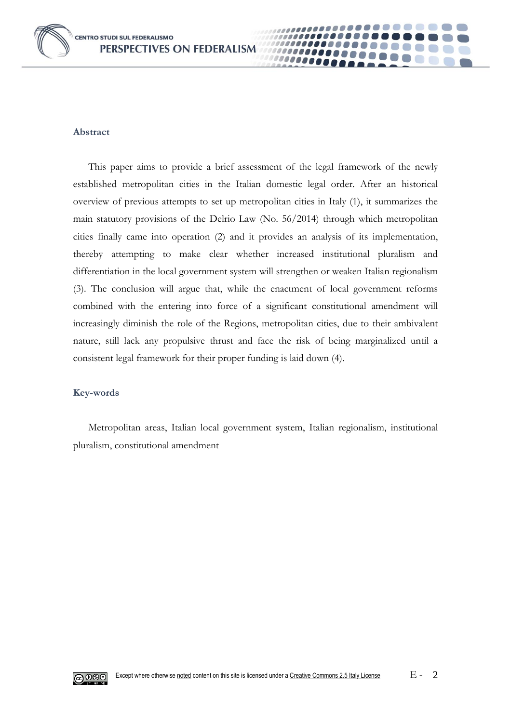

#### **Abstract**

This paper aims to provide a brief assessment of the legal framework of the newly established metropolitan cities in the Italian domestic legal order. After an historical overview of previous attempts to set up metropolitan cities in Italy (1), it summarizes the main statutory provisions of the Delrio Law (No. 56/2014) through which metropolitan cities finally came into operation (2) and it provides an analysis of its implementation, thereby attempting to make clear whether increased institutional pluralism and differentiation in the local government system will strengthen or weaken Italian regionalism (3). The conclusion will argue that, while the enactment of local government reforms combined with the entering into force of a significant constitutional amendment will increasingly diminish the role of the Regions, metropolitan cities, due to their ambivalent nature, still lack any propulsive thrust and face the risk of being marginalized until a consistent legal framework for their proper funding is laid down (4).

0000

#### **Key-words**

Metropolitan areas, Italian local government system, Italian regionalism, institutional pluralism, constitutional amendment

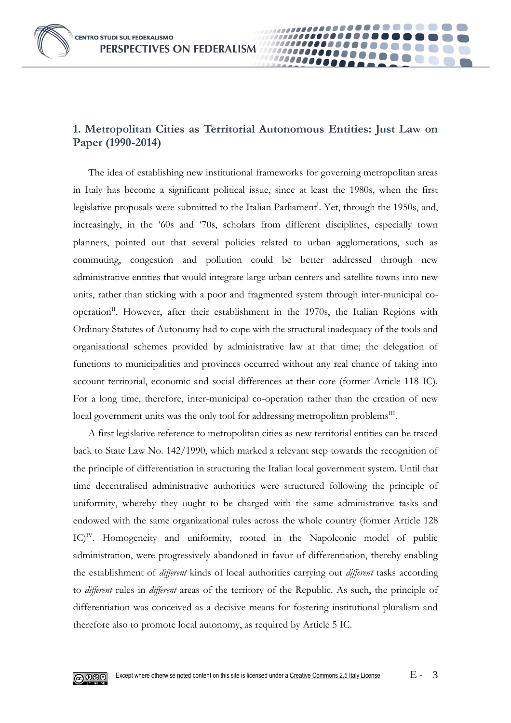**CENTRO STUDI SUL FEDERALISMO** PERSPECTIVES ON FEDERALISM

### **1. Metropolitan Cities as Territorial Autonomous Entities: Just Law on Paper (1990-2014)**

00000

The idea of establishing new institutional frameworks for governing metropolitan areas in Italy has become a significant political issue, since at least the 1980s, when the first legislative proposals were submitted to the Italian Parliament<sup>I</sup>. Yet, through the 1950s, and, increasingly, in the '60s and '70s, scholars from different disciplines, especially town planners, pointed out that several policies related to urban agglomerations, such as commuting, congestion and pollution could be better addressed through new administrative entities that would integrate large urban centers and satellite towns into new units, rather than sticking with a poor and fragmented system through inter-municipal cooperation<sup>II</sup>. However, after their establishment in the 1970s, the Italian Regions with Ordinary Statutes of Autonomy had to cope with the structural inadequacy of the tools and organisational schemes provided by administrative law at that time; the delegation of functions to municipalities and provinces occurred without any real chance of taking into account territorial, economic and social differences at their core (former Article 118 IC). For a long time, therefore, inter-municipal co-operation rather than the creation of new local government units was the only tool for addressing metropolitan problems<sup>III</sup>.

A first legislative reference to metropolitan cities as new territorial entities can be traced back to State Law No. 142/1990, which marked a relevant step towards the recognition of the principle of differentiation in structuring the Italian local government system. Until that time decentralised administrative authorities were structured following the principle of uniformity, whereby they ought to be charged with the same administrative tasks and endowed with the same organizational rules across the whole country (former Article 128 IC)<sup>IV</sup>. Homogeneity and uniformity, rooted in the Napoleonic model of public administration, were progressively abandoned in favor of differentiation, thereby enabling the establishment of *different* kinds of local authorities carrying out *different* tasks according to *different* rules in *different* areas of the territory of the Republic. As such, the principle of differentiation was conceived as a decisive means for fostering institutional pluralism and therefore also to promote local autonomy, as required by Article 5 IC.

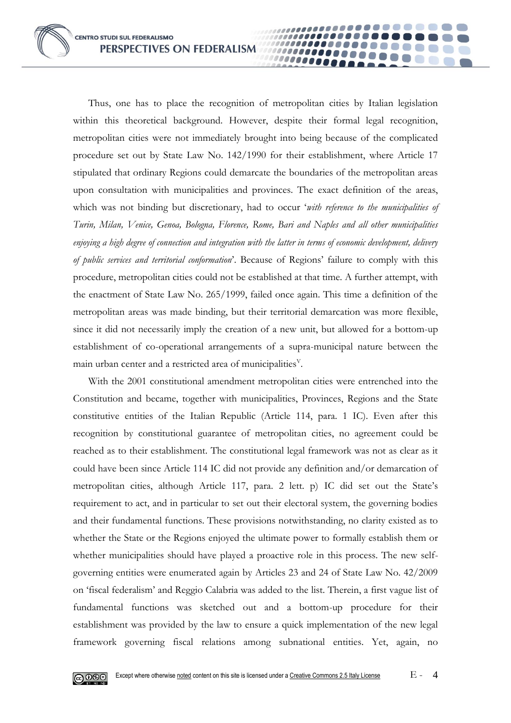Thus, one has to place the recognition of metropolitan cities by Italian legislation within this theoretical background. However, despite their formal legal recognition, metropolitan cities were not immediately brought into being because of the complicated procedure set out by State Law No. 142/1990 for their establishment, where Article 17 stipulated that ordinary Regions could demarcate the boundaries of the metropolitan areas upon consultation with municipalities and provinces. The exact definition of the areas, which was not binding but discretionary, had to occur '*with reference to the municipalities of Turin, Milan, Venice, Genoa, Bologna, Florence, Rome, Bari and Naples and all other municipalities enjoying a high degree of connection and integration with the latter in terms of economic development, delivery of public services and territorial conformation*'. Because of Regions' failure to comply with this procedure, metropolitan cities could not be established at that time. A further attempt, with the enactment of State Law No. 265/1999, failed once again. This time a definition of the metropolitan areas was made binding, but their territorial demarcation was more flexible, since it did not necessarily imply the creation of a new unit, but allowed for a bottom-up establishment of co-operational arrangements of a supra-municipal nature between the main urban center and a restricted area of municipalities $V$ .

......

100000000 10000

With the 2001 constitutional amendment metropolitan cities were entrenched into the Constitution and became, together with municipalities, Provinces, Regions and the State constitutive entities of the Italian Republic (Article 114, para. 1 IC). Even after this recognition by constitutional guarantee of metropolitan cities, no agreement could be reached as to their establishment. The constitutional legal framework was not as clear as it could have been since Article 114 IC did not provide any definition and/or demarcation of metropolitan cities, although Article 117, para. 2 lett. p) IC did set out the State's requirement to act, and in particular to set out their electoral system, the governing bodies and their fundamental functions. These provisions notwithstanding, no clarity existed as to whether the State or the Regions enjoyed the ultimate power to formally establish them or whether municipalities should have played a proactive role in this process. The new selfgoverning entities were enumerated again by Articles 23 and 24 of State Law No. 42/2009 on 'fiscal federalism' and Reggio Calabria was added to the list. Therein, a first vague list of fundamental functions was sketched out and a bottom-up procedure for their establishment was provided by the law to ensure a quick implementation of the new legal framework governing fiscal relations among subnational entities. Yet, again, no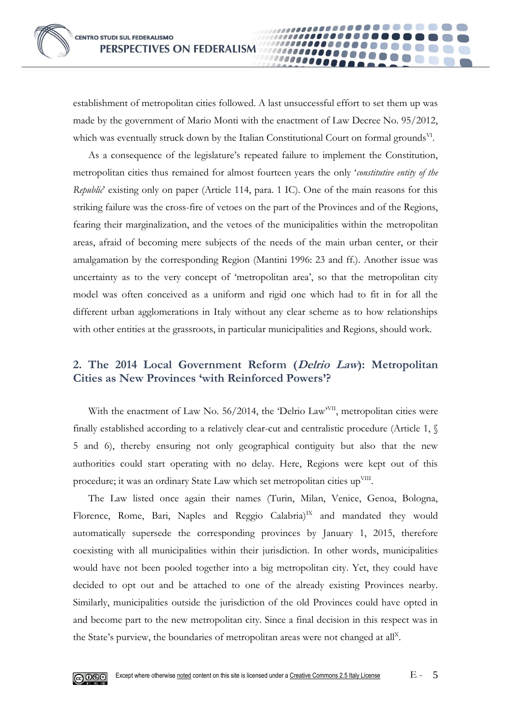establishment of metropolitan cities followed. A last unsuccessful effort to set them up was made by the government of Mario Monti with the enactment of Law Decree No. 95/2012, which was eventually struck down by the Italian Constitutional Court on formal grounds<sup>VI</sup>.

......... 10000

As a consequence of the legislature's repeated failure to implement the Constitution, metropolitan cities thus remained for almost fourteen years the only '*constitutive entity of the Republic*' existing only on paper (Article 114, para. 1 IC). One of the main reasons for this striking failure was the cross-fire of vetoes on the part of the Provinces and of the Regions, fearing their marginalization, and the vetoes of the municipalities within the metropolitan areas, afraid of becoming mere subjects of the needs of the main urban center, or their amalgamation by the corresponding Region (Mantini 1996: 23 and ff.). Another issue was uncertainty as to the very concept of 'metropolitan area', so that the metropolitan city model was often conceived as a uniform and rigid one which had to fit in for all the different urban agglomerations in Italy without any clear scheme as to how relationships with other entities at the grassroots, in particular municipalities and Regions, should work.

## **2. The 2014 Local Government Reform (Delrio Law): Metropolitan Cities as New Provinces 'with Reinforced Powers'?**

With the enactment of Law No. 56/2014, the 'Delrio Law<sup>yVII</sup>, metropolitan cities were finally established according to a relatively clear-cut and centralistic procedure (Article 1, § 5 and 6), thereby ensuring not only geographical contiguity but also that the new authorities could start operating with no delay. Here, Regions were kept out of this procedure; it was an ordinary State Law which set metropolitan cities up $\text{VIII}$ .

The Law listed once again their names (Turin, Milan, Venice, Genoa, Bologna, Florence, Rome, Bari, Naples and Reggio Calabria)<sup>IX</sup> and mandated they would automatically supersede the corresponding provinces by January 1, 2015, therefore coexisting with all municipalities within their jurisdiction. In other words, municipalities would have not been pooled together into a big metropolitan city. Yet, they could have decided to opt out and be attached to one of the already existing Provinces nearby. Similarly, municipalities outside the jurisdiction of the old Provinces could have opted in and become part to the new metropolitan city. Since a final decision in this respect was in the State's purview, the boundaries of metropolitan areas were not changed at all<sup>x</sup>.

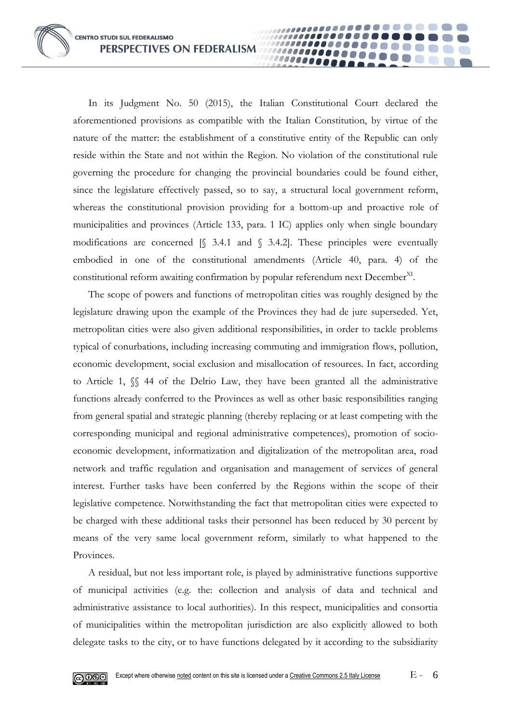In its Judgment No. 50 (2015), the Italian Constitutional Court declared the aforementioned provisions as compatible with the Italian Constitution, by virtue of the nature of the matter: the establishment of a constitutive entity of the Republic can only reside within the State and not within the Region. No violation of the constitutional rule governing the procedure for changing the provincial boundaries could be found either, since the legislature effectively passed, so to say, a structural local government reform, whereas the constitutional provision providing for a bottom-up and proactive role of municipalities and provinces (Article 133, para. 1 IC) applies only when single boundary modifications are concerned  $\lceil \sqrt{34.1} \rceil$  and  $\lceil \sqrt{34.2} \rceil$ . These principles were eventually embodied in one of the constitutional amendments (Article 40, para. 4) of the constitutional reform awaiting confirmation by popular referendum next December<sup>XI</sup>.

00000

The scope of powers and functions of metropolitan cities was roughly designed by the legislature drawing upon the example of the Provinces they had de jure superseded. Yet, metropolitan cities were also given additional responsibilities, in order to tackle problems typical of conurbations, including increasing commuting and immigration flows, pollution, economic development, social exclusion and misallocation of resources. In fact, according to Article 1, §§ 44 of the Delrio Law, they have been granted all the administrative functions already conferred to the Provinces as well as other basic responsibilities ranging from general spatial and strategic planning (thereby replacing or at least competing with the corresponding municipal and regional administrative competences), promotion of socioeconomic development, informatization and digitalization of the metropolitan area, road network and traffic regulation and organisation and management of services of general interest. Further tasks have been conferred by the Regions within the scope of their legislative competence. Notwithstanding the fact that metropolitan cities were expected to be charged with these additional tasks their personnel has been reduced by 30 percent by means of the very same local government reform, similarly to what happened to the Provinces.

A residual, but not less important role, is played by administrative functions supportive of municipal activities (e.g. the: collection and analysis of data and technical and administrative assistance to local authorities). In this respect, municipalities and consortia of municipalities within the metropolitan jurisdiction are also explicitly allowed to both delegate tasks to the city, or to have functions delegated by it according to the subsidiarity

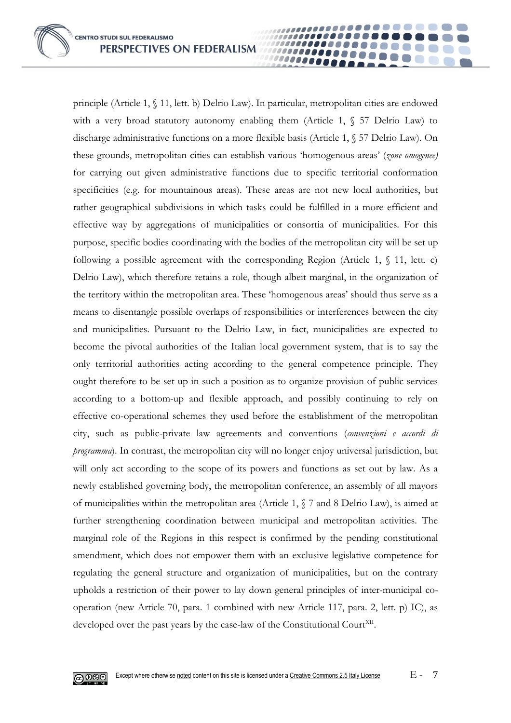principle (Article 1, § 11, lett. b) Delrio Law). In particular, metropolitan cities are endowed with a very broad statutory autonomy enabling them (Article 1,  $\S$  57 Delrio Law) to discharge administrative functions on a more flexible basis (Article 1, § 57 Delrio Law). On these grounds, metropolitan cities can establish various 'homogenous areas' (*zone omogenee)*  for carrying out given administrative functions due to specific territorial conformation specificities (e.g. for mountainous areas). These areas are not new local authorities, but rather geographical subdivisions in which tasks could be fulfilled in a more efficient and effective way by aggregations of municipalities or consortia of municipalities. For this purpose, specific bodies coordinating with the bodies of the metropolitan city will be set up following a possible agreement with the corresponding Region (Article 1,  $\{(1, 1), \{(1, 1)\}$ ) Delrio Law), which therefore retains a role, though albeit marginal, in the organization of the territory within the metropolitan area. These 'homogenous areas' should thus serve as a means to disentangle possible overlaps of responsibilities or interferences between the city and municipalities. Pursuant to the Delrio Law, in fact, municipalities are expected to become the pivotal authorities of the Italian local government system, that is to say the only territorial authorities acting according to the general competence principle. They ought therefore to be set up in such a position as to organize provision of public services according to a bottom-up and flexible approach, and possibly continuing to rely on effective co-operational schemes they used before the establishment of the metropolitan city, such as public-private law agreements and conventions (*convenzioni e accordi di programma*). In contrast, the metropolitan city will no longer enjoy universal jurisdiction, but will only act according to the scope of its powers and functions as set out by law. As a newly established governing body, the metropolitan conference, an assembly of all mayors of municipalities within the metropolitan area (Article 1, § 7 and 8 Delrio Law), is aimed at further strengthening coordination between municipal and metropolitan activities. The marginal role of the Regions in this respect is confirmed by the pending constitutional amendment, which does not empower them with an exclusive legislative competence for regulating the general structure and organization of municipalities, but on the contrary upholds a restriction of their power to lay down general principles of inter-municipal cooperation (new Article 70, para. 1 combined with new Article 117, para. 2, lett. p) IC), as developed over the past years by the case-law of the Constitutional Court<sup>XII</sup>.

......

1000000001 000000

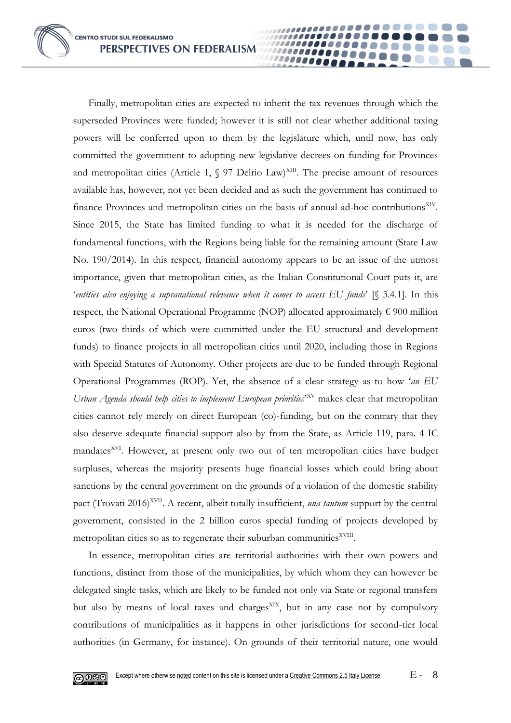**CENTRO STUDI SUL FEDERALISMO** PERSPECTIVES ON FEDERALISM

Finally, metropolitan cities are expected to inherit the tax revenues through which the superseded Provinces were funded; however it is still not clear whether additional taxing powers will be conferred upon to them by the legislature which, until now, has only committed the government to adopting new legislative decrees on funding for Provinces and metropolitan cities (Article 1,  $\S$  97 Delrio Law)<sup>XIII</sup>. The precise amount of resources available has, however, not yet been decided and as such the government has continued to finance Provinces and metropolitan cities on the basis of annual ad-hoc contributions<sup>XIV</sup>. Since 2015, the State has limited funding to what it is needed for the discharge of fundamental functions, with the Regions being liable for the remaining amount (State Law No. 190/2014). In this respect, financial autonomy appears to be an issue of the utmost importance, given that metropolitan cities, as the Italian Constitutional Court puts it, are '*entities also enjoying a supranational relevance when it comes to access EU funds*' [§ 3.4.1]. In this respect, the National Operational Programme (NOP) allocated approximately  $\epsilon$  900 million euros (two thirds of which were committed under the EU structural and development funds) to finance projects in all metropolitan cities until 2020, including those in Regions with Special Statutes of Autonomy. Other projects are due to be funded through Regional Operational Programmes (ROP). Yet, the absence of a clear strategy as to how '*an EU*  Urban Agenda should help cities to implement European priorities<sup>, NV</sup> makes clear that metropolitan cities cannot rely merely on direct European (co)-funding, but on the contrary that they also deserve adequate financial support also by from the State, as Article 119, para. 4 IC mandates<sup>XVI</sup>. However, at present only two out of ten metropolitan cities have budget surpluses, whereas the majority presents huge financial losses which could bring about sanctions by the central government on the grounds of a violation of the domestic stability pact (Trovati 2016)<sup>XVII</sup>. A recent, albeit totally insufficient, *una tantum* support by the central government, consisted in the 2 billion euros special funding of projects developed by metropolitan cities so as to regenerate their suburban communities<sup>XVIII</sup>.

100000000 00000

In essence, metropolitan cities are territorial authorities with their own powers and functions, distinct from those of the municipalities, by which whom they can however be delegated single tasks, which are likely to be funded not only via State or regional transfers but also by means of local taxes and charges<sup>XIX</sup>, but in any case not by compulsory contributions of municipalities as it happens in other jurisdictions for second-tier local authorities (in Germany, for instance). On grounds of their territorial nature, one would

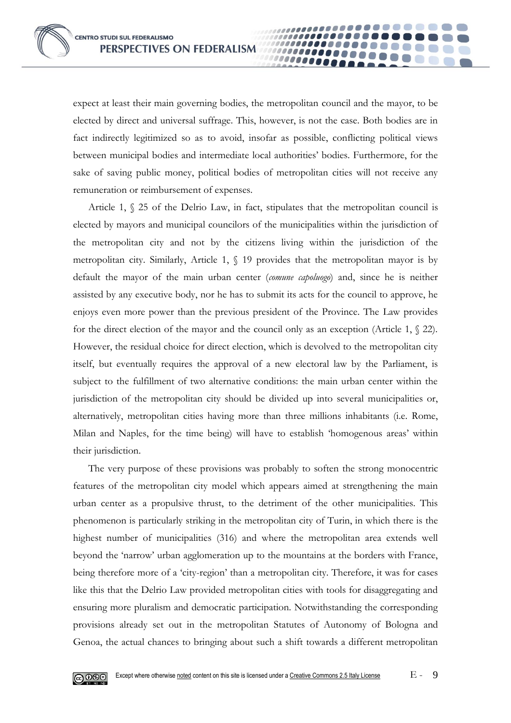expect at least their main governing bodies, the metropolitan council and the mayor, to be elected by direct and universal suffrage. This, however, is not the case. Both bodies are in fact indirectly legitimized so as to avoid, insofar as possible, conflicting political views between municipal bodies and intermediate local authorities' bodies. Furthermore, for the sake of saving public money, political bodies of metropolitan cities will not receive any remuneration or reimbursement of expenses.

100000001 10000

Article 1, § 25 of the Delrio Law, in fact, stipulates that the metropolitan council is elected by mayors and municipal councilors of the municipalities within the jurisdiction of the metropolitan city and not by the citizens living within the jurisdiction of the metropolitan city. Similarly, Article 1, § 19 provides that the metropolitan mayor is by default the mayor of the main urban center (*comune capoluogo*) and, since he is neither assisted by any executive body, nor he has to submit its acts for the council to approve, he enjoys even more power than the previous president of the Province. The Law provides for the direct election of the mayor and the council only as an exception (Article 1, § 22). However, the residual choice for direct election, which is devolved to the metropolitan city itself, but eventually requires the approval of a new electoral law by the Parliament, is subject to the fulfillment of two alternative conditions: the main urban center within the jurisdiction of the metropolitan city should be divided up into several municipalities or, alternatively, metropolitan cities having more than three millions inhabitants (i.e. Rome, Milan and Naples, for the time being) will have to establish 'homogenous areas' within their jurisdiction.

The very purpose of these provisions was probably to soften the strong monocentric features of the metropolitan city model which appears aimed at strengthening the main urban center as a propulsive thrust, to the detriment of the other municipalities. This phenomenon is particularly striking in the metropolitan city of Turin, in which there is the highest number of municipalities (316) and where the metropolitan area extends well beyond the 'narrow' urban agglomeration up to the mountains at the borders with France, being therefore more of a 'city-region' than a metropolitan city. Therefore, it was for cases like this that the Delrio Law provided metropolitan cities with tools for disaggregating and ensuring more pluralism and democratic participation. Notwithstanding the corresponding provisions already set out in the metropolitan Statutes of Autonomy of Bologna and Genoa, the actual chances to bringing about such a shift towards a different metropolitan

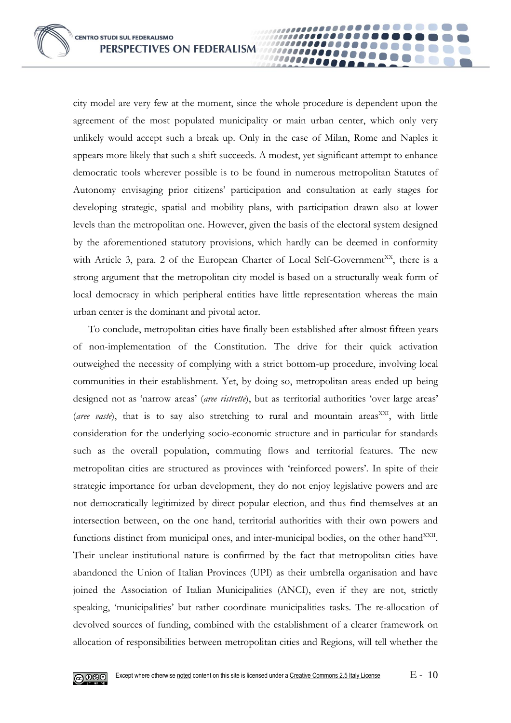city model are very few at the moment, since the whole procedure is dependent upon the agreement of the most populated municipality or main urban center, which only very unlikely would accept such a break up. Only in the case of Milan, Rome and Naples it appears more likely that such a shift succeeds. A modest, yet significant attempt to enhance democratic tools wherever possible is to be found in numerous metropolitan Statutes of Autonomy envisaging prior citizens' participation and consultation at early stages for developing strategic, spatial and mobility plans, with participation drawn also at lower levels than the metropolitan one. However, given the basis of the electoral system designed by the aforementioned statutory provisions, which hardly can be deemed in conformity with Article 3, para. 2 of the European Charter of Local Self-Government<sup>XX</sup>, there is a strong argument that the metropolitan city model is based on a structurally weak form of local democracy in which peripheral entities have little representation whereas the main urban center is the dominant and pivotal actor.

100000001 00000

To conclude, metropolitan cities have finally been established after almost fifteen years of non-implementation of the Constitution. The drive for their quick activation outweighed the necessity of complying with a strict bottom-up procedure, involving local communities in their establishment. Yet, by doing so, metropolitan areas ended up being designed not as 'narrow areas' (*aree ristrette*), but as territorial authorities 'over large areas' (aree vaste), that is to say also stretching to rural and mountain areas<sup>XXI</sup>, with little consideration for the underlying socio-economic structure and in particular for standards such as the overall population, commuting flows and territorial features. The new metropolitan cities are structured as provinces with 'reinforced powers'. In spite of their strategic importance for urban development, they do not enjoy legislative powers and are not democratically legitimized by direct popular election, and thus find themselves at an intersection between, on the one hand, territorial authorities with their own powers and functions distinct from municipal ones, and inter-municipal bodies, on the other hand<sup>XXII</sup>. Their unclear institutional nature is confirmed by the fact that metropolitan cities have abandoned the Union of Italian Provinces (UPI) as their umbrella organisation and have joined the Association of Italian Municipalities (ANCI), even if they are not, strictly speaking, 'municipalities' but rather coordinate municipalities tasks. The re-allocation of devolved sources of funding, combined with the establishment of a clearer framework on allocation of responsibilities between metropolitan cities and Regions, will tell whether the

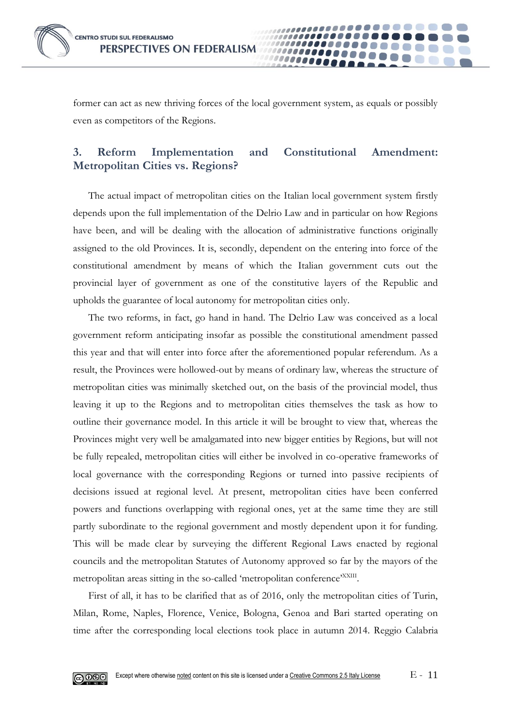

former can act as new thriving forces of the local government system, as equals or possibly even as competitors of the Regions.

00000

## **3. Reform Implementation and Constitutional Amendment: Metropolitan Cities vs. Regions?**

The actual impact of metropolitan cities on the Italian local government system firstly depends upon the full implementation of the Delrio Law and in particular on how Regions have been, and will be dealing with the allocation of administrative functions originally assigned to the old Provinces. It is, secondly, dependent on the entering into force of the constitutional amendment by means of which the Italian government cuts out the provincial layer of government as one of the constitutive layers of the Republic and upholds the guarantee of local autonomy for metropolitan cities only.

The two reforms, in fact, go hand in hand. The Delrio Law was conceived as a local government reform anticipating insofar as possible the constitutional amendment passed this year and that will enter into force after the aforementioned popular referendum. As a result, the Provinces were hollowed-out by means of ordinary law, whereas the structure of metropolitan cities was minimally sketched out, on the basis of the provincial model, thus leaving it up to the Regions and to metropolitan cities themselves the task as how to outline their governance model. In this article it will be brought to view that, whereas the Provinces might very well be amalgamated into new bigger entities by Regions, but will not be fully repealed, metropolitan cities will either be involved in co-operative frameworks of local governance with the corresponding Regions or turned into passive recipients of decisions issued at regional level. At present, metropolitan cities have been conferred powers and functions overlapping with regional ones, yet at the same time they are still partly subordinate to the regional government and mostly dependent upon it for funding. This will be made clear by surveying the different Regional Laws enacted by regional councils and the metropolitan Statutes of Autonomy approved so far by the mayors of the metropolitan areas sitting in the so-called 'metropolitan conference'<sup>XXIII</sup>.

First of all, it has to be clarified that as of 2016, only the metropolitan cities of Turin, Milan, Rome, Naples, Florence, Venice, Bologna, Genoa and Bari started operating on time after the corresponding local elections took place in autumn 2014. Reggio Calabria

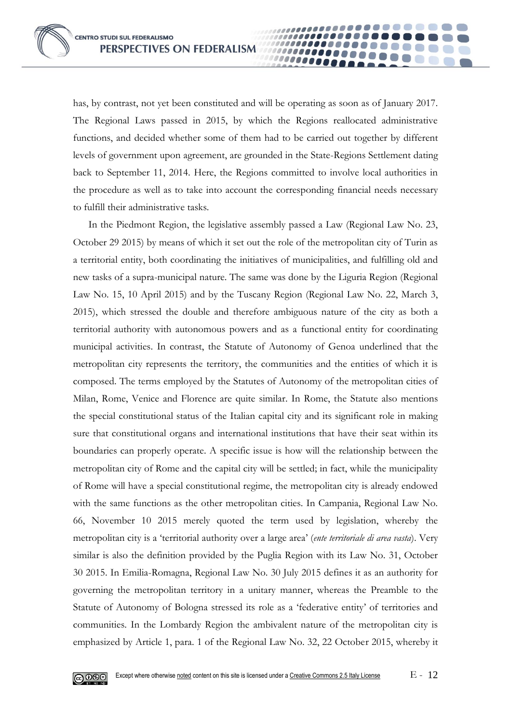has, by contrast, not yet been constituted and will be operating as soon as of January 2017. The Regional Laws passed in 2015, by which the Regions reallocated administrative functions, and decided whether some of them had to be carried out together by different levels of government upon agreement, are grounded in the State-Regions Settlement dating back to September 11, 2014. Here, the Regions committed to involve local authorities in the procedure as well as to take into account the corresponding financial needs necessary to fulfill their administrative tasks.

100000001 10000

In the Piedmont Region, the legislative assembly passed a Law (Regional Law No. 23, October 29 2015) by means of which it set out the role of the metropolitan city of Turin as a territorial entity, both coordinating the initiatives of municipalities, and fulfilling old and new tasks of a supra-municipal nature. The same was done by the Liguria Region (Regional Law No. 15, 10 April 2015) and by the Tuscany Region (Regional Law No. 22, March 3, 2015), which stressed the double and therefore ambiguous nature of the city as both a territorial authority with autonomous powers and as a functional entity for coordinating municipal activities. In contrast, the Statute of Autonomy of Genoa underlined that the metropolitan city represents the territory, the communities and the entities of which it is composed. The terms employed by the Statutes of Autonomy of the metropolitan cities of Milan, Rome, Venice and Florence are quite similar. In Rome, the Statute also mentions the special constitutional status of the Italian capital city and its significant role in making sure that constitutional organs and international institutions that have their seat within its boundaries can properly operate. A specific issue is how will the relationship between the metropolitan city of Rome and the capital city will be settled; in fact, while the municipality of Rome will have a special constitutional regime, the metropolitan city is already endowed with the same functions as the other metropolitan cities. In Campania, Regional Law No. 66, November 10 2015 merely quoted the term used by legislation, whereby the metropolitan city is a 'territorial authority over a large area' (*ente territoriale di area vasta*). Very similar is also the definition provided by the Puglia Region with its Law No. 31, October 30 2015. In Emilia-Romagna, Regional Law No. 30 July 2015 defines it as an authority for governing the metropolitan territory in a unitary manner, whereas the Preamble to the Statute of Autonomy of Bologna stressed its role as a 'federative entity' of territories and communities. In the Lombardy Region the ambivalent nature of the metropolitan city is emphasized by Article 1, para. 1 of the Regional Law No. 32, 22 October 2015, whereby it

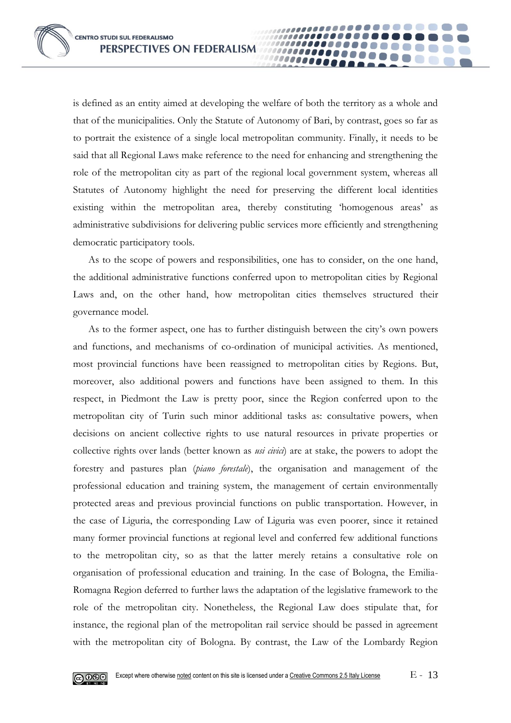is defined as an entity aimed at developing the welfare of both the territory as a whole and that of the municipalities. Only the Statute of Autonomy of Bari, by contrast, goes so far as to portrait the existence of a single local metropolitan community. Finally, it needs to be said that all Regional Laws make reference to the need for enhancing and strengthening the role of the metropolitan city as part of the regional local government system, whereas all Statutes of Autonomy highlight the need for preserving the different local identities existing within the metropolitan area, thereby constituting 'homogenous areas' as administrative subdivisions for delivering public services more efficiently and strengthening democratic participatory tools.

00000

As to the scope of powers and responsibilities, one has to consider, on the one hand, the additional administrative functions conferred upon to metropolitan cities by Regional Laws and, on the other hand, how metropolitan cities themselves structured their governance model.

As to the former aspect, one has to further distinguish between the city's own powers and functions, and mechanisms of co-ordination of municipal activities. As mentioned, most provincial functions have been reassigned to metropolitan cities by Regions. But, moreover, also additional powers and functions have been assigned to them. In this respect, in Piedmont the Law is pretty poor, since the Region conferred upon to the metropolitan city of Turin such minor additional tasks as: consultative powers, when decisions on ancient collective rights to use natural resources in private properties or collective rights over lands (better known as *usi civici*) are at stake, the powers to adopt the forestry and pastures plan (*piano forestale*), the organisation and management of the professional education and training system, the management of certain environmentally protected areas and previous provincial functions on public transportation. However, in the case of Liguria, the corresponding Law of Liguria was even poorer, since it retained many former provincial functions at regional level and conferred few additional functions to the metropolitan city, so as that the latter merely retains a consultative role on organisation of professional education and training. In the case of Bologna, the Emilia-Romagna Region deferred to further laws the adaptation of the legislative framework to the role of the metropolitan city. Nonetheless, the Regional Law does stipulate that, for instance, the regional plan of the metropolitan rail service should be passed in agreement with the metropolitan city of Bologna. By contrast, the Law of the Lombardy Region

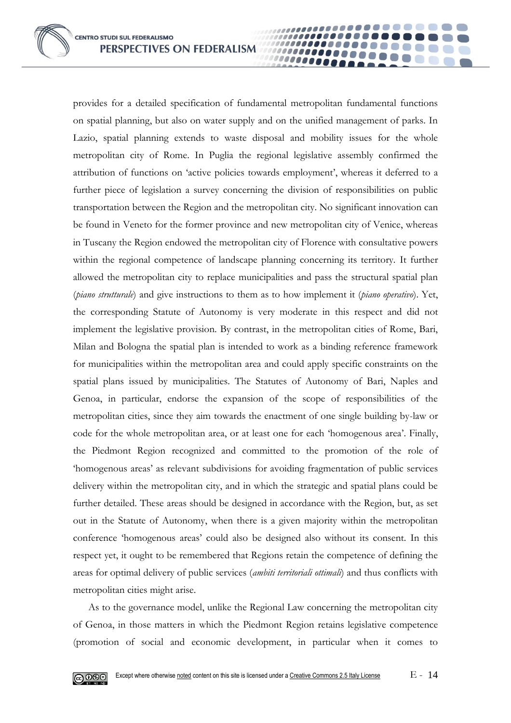**CENTRO STUDI SUL FEDERALISMO** PERSPECTIVES ON FEDERALISM

provides for a detailed specification of fundamental metropolitan fundamental functions on spatial planning, but also on water supply and on the unified management of parks. In Lazio, spatial planning extends to waste disposal and mobility issues for the whole metropolitan city of Rome. In Puglia the regional legislative assembly confirmed the attribution of functions on 'active policies towards employment', whereas it deferred to a further piece of legislation a survey concerning the division of responsibilities on public transportation between the Region and the metropolitan city. No significant innovation can be found in Veneto for the former province and new metropolitan city of Venice, whereas in Tuscany the Region endowed the metropolitan city of Florence with consultative powers within the regional competence of landscape planning concerning its territory. It further allowed the metropolitan city to replace municipalities and pass the structural spatial plan (*piano strutturale*) and give instructions to them as to how implement it (*piano operativo*). Yet, the corresponding Statute of Autonomy is very moderate in this respect and did not implement the legislative provision. By contrast, in the metropolitan cities of Rome, Bari, Milan and Bologna the spatial plan is intended to work as a binding reference framework for municipalities within the metropolitan area and could apply specific constraints on the spatial plans issued by municipalities. The Statutes of Autonomy of Bari, Naples and Genoa, in particular, endorse the expansion of the scope of responsibilities of the metropolitan cities, since they aim towards the enactment of one single building by-law or code for the whole metropolitan area, or at least one for each 'homogenous area'. Finally, the Piedmont Region recognized and committed to the promotion of the role of 'homogenous areas' as relevant subdivisions for avoiding fragmentation of public services delivery within the metropolitan city, and in which the strategic and spatial plans could be further detailed. These areas should be designed in accordance with the Region, but, as set out in the Statute of Autonomy, when there is a given majority within the metropolitan conference 'homogenous areas' could also be designed also without its consent. In this respect yet, it ought to be remembered that Regions retain the competence of defining the areas for optimal delivery of public services (*ambiti territoriali ottimali*) and thus conflicts with metropolitan cities might arise.

100000001 10000

As to the governance model, unlike the Regional Law concerning the metropolitan city of Genoa, in those matters in which the Piedmont Region retains legislative competence (promotion of social and economic development, in particular when it comes to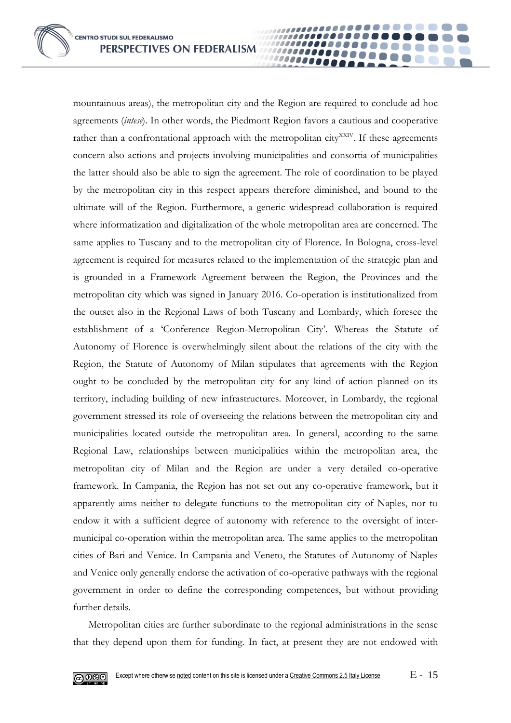**CENTRO STUDI SUL FEDERALISMO** PERSPECTIVES ON FEDERALISM

mountainous areas), the metropolitan city and the Region are required to conclude ad hoc agreements (*intese*). In other words, the Piedmont Region favors a cautious and cooperative rather than a confrontational approach with the metropolitan city<sup>XXIV</sup>. If these agreements concern also actions and projects involving municipalities and consortia of municipalities the latter should also be able to sign the agreement. The role of coordination to be played by the metropolitan city in this respect appears therefore diminished, and bound to the ultimate will of the Region. Furthermore, a generic widespread collaboration is required where informatization and digitalization of the whole metropolitan area are concerned. The same applies to Tuscany and to the metropolitan city of Florence. In Bologna, cross-level agreement is required for measures related to the implementation of the strategic plan and is grounded in a Framework Agreement between the Region, the Provinces and the metropolitan city which was signed in January 2016. Co-operation is institutionalized from the outset also in the Regional Laws of both Tuscany and Lombardy, which foresee the establishment of a 'Conference Region-Metropolitan City'. Whereas the Statute of Autonomy of Florence is overwhelmingly silent about the relations of the city with the Region, the Statute of Autonomy of Milan stipulates that agreements with the Region ought to be concluded by the metropolitan city for any kind of action planned on its territory, including building of new infrastructures. Moreover, in Lombardy, the regional government stressed its role of overseeing the relations between the metropolitan city and municipalities located outside the metropolitan area. In general, according to the same Regional Law, relationships between municipalities within the metropolitan area, the metropolitan city of Milan and the Region are under a very detailed co-operative framework. In Campania, the Region has not set out any co-operative framework, but it apparently aims neither to delegate functions to the metropolitan city of Naples, nor to endow it with a sufficient degree of autonomy with reference to the oversight of intermunicipal co-operation within the metropolitan area. The same applies to the metropolitan cities of Bari and Venice. In Campania and Veneto, the Statutes of Autonomy of Naples and Venice only generally endorse the activation of co-operative pathways with the regional government in order to define the corresponding competences, but without providing further details.

100000000 10000

Metropolitan cities are further subordinate to the regional administrations in the sense that they depend upon them for funding. In fact, at present they are not endowed with

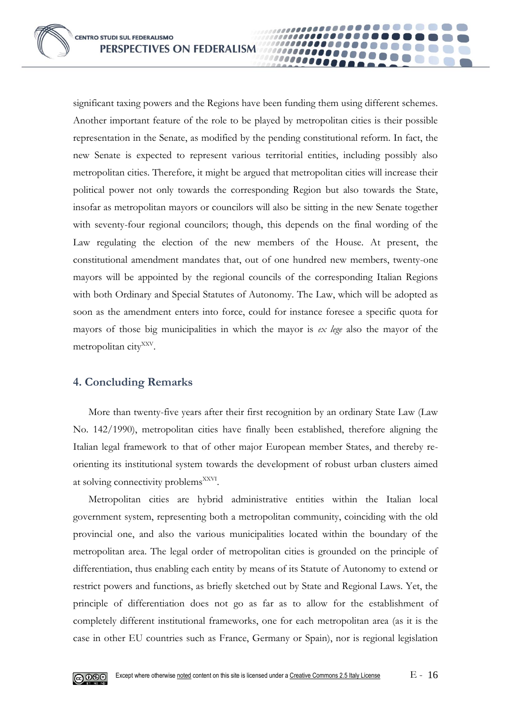significant taxing powers and the Regions have been funding them using different schemes. Another important feature of the role to be played by metropolitan cities is their possible representation in the Senate, as modified by the pending constitutional reform. In fact, the new Senate is expected to represent various territorial entities, including possibly also metropolitan cities. Therefore, it might be argued that metropolitan cities will increase their political power not only towards the corresponding Region but also towards the State, insofar as metropolitan mayors or councilors will also be sitting in the new Senate together with seventy-four regional councilors; though, this depends on the final wording of the Law regulating the election of the new members of the House. At present, the constitutional amendment mandates that, out of one hundred new members, twenty-one mayors will be appointed by the regional councils of the corresponding Italian Regions with both Ordinary and Special Statutes of Autonomy. The Law, which will be adopted as soon as the amendment enters into force, could for instance foresee a specific quota for mayors of those big municipalities in which the mayor is *ex lege* also the mayor of the metropolitan city<sup>XXV</sup>.

00000

#### **4. Concluding Remarks**

More than twenty-five years after their first recognition by an ordinary State Law (Law No. 142/1990), metropolitan cities have finally been established, therefore aligning the Italian legal framework to that of other major European member States, and thereby reorienting its institutional system towards the development of robust urban clusters aimed at solving connectivity problems<sup>XXVI</sup>.

Metropolitan cities are hybrid administrative entities within the Italian local government system, representing both a metropolitan community, coinciding with the old provincial one, and also the various municipalities located within the boundary of the metropolitan area. The legal order of metropolitan cities is grounded on the principle of differentiation, thus enabling each entity by means of its Statute of Autonomy to extend or restrict powers and functions, as briefly sketched out by State and Regional Laws. Yet, the principle of differentiation does not go as far as to allow for the establishment of completely different institutional frameworks, one for each metropolitan area (as it is the case in other EU countries such as France, Germany or Spain), nor is regional legislation

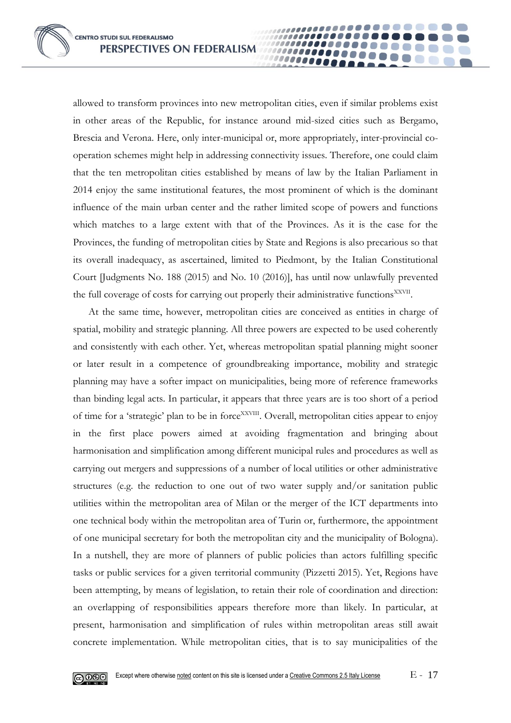allowed to transform provinces into new metropolitan cities, even if similar problems exist in other areas of the Republic, for instance around mid-sized cities such as Bergamo, Brescia and Verona. Here, only inter-municipal or, more appropriately, inter-provincial cooperation schemes might help in addressing connectivity issues. Therefore, one could claim that the ten metropolitan cities established by means of law by the Italian Parliament in 2014 enjoy the same institutional features, the most prominent of which is the dominant influence of the main urban center and the rather limited scope of powers and functions which matches to a large extent with that of the Provinces. As it is the case for the Provinces, the funding of metropolitan cities by State and Regions is also precarious so that its overall inadequacy, as ascertained, limited to Piedmont, by the Italian Constitutional Court [Judgments No. 188 (2015) and No. 10 (2016)], has until now unlawfully prevented the full coverage of costs for carrying out properly their administrative functions<sup>XXVII</sup>.

100000001 00000

At the same time, however, metropolitan cities are conceived as entities in charge of spatial, mobility and strategic planning. All three powers are expected to be used coherently and consistently with each other. Yet, whereas metropolitan spatial planning might sooner or later result in a competence of groundbreaking importance, mobility and strategic planning may have a softer impact on municipalities, being more of reference frameworks than binding legal acts. In particular, it appears that three years are is too short of a period of time for a 'strategic' plan to be in force<sup>XXVIII</sup>. Overall, metropolitan cities appear to enjoy in the first place powers aimed at avoiding fragmentation and bringing about harmonisation and simplification among different municipal rules and procedures as well as carrying out mergers and suppressions of a number of local utilities or other administrative structures (e.g. the reduction to one out of two water supply and/or sanitation public utilities within the metropolitan area of Milan or the merger of the ICT departments into one technical body within the metropolitan area of Turin or, furthermore, the appointment of one municipal secretary for both the metropolitan city and the municipality of Bologna). In a nutshell, they are more of planners of public policies than actors fulfilling specific tasks or public services for a given territorial community (Pizzetti 2015). Yet, Regions have been attempting, by means of legislation, to retain their role of coordination and direction: an overlapping of responsibilities appears therefore more than likely. In particular, at present, harmonisation and simplification of rules within metropolitan areas still await concrete implementation. While metropolitan cities, that is to say municipalities of the

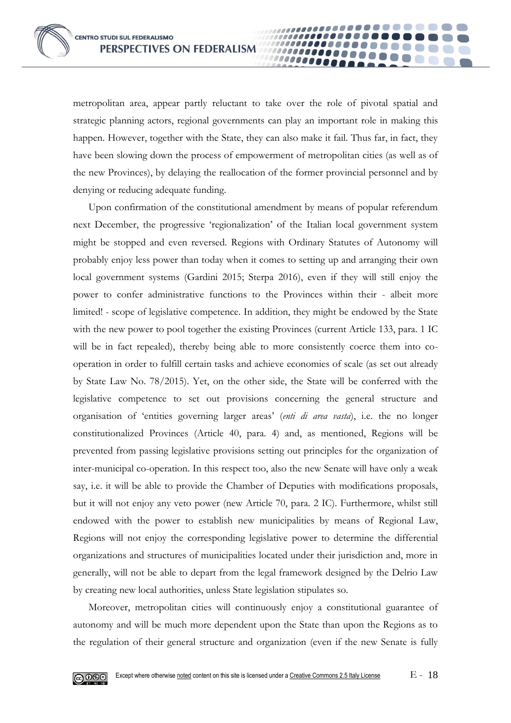metropolitan area, appear partly reluctant to take over the role of pivotal spatial and strategic planning actors, regional governments can play an important role in making this happen. However, together with the State, they can also make it fail. Thus far, in fact, they have been slowing down the process of empowerment of metropolitan cities (as well as of the new Provinces), by delaying the reallocation of the former provincial personnel and by denying or reducing adequate funding.

100000000 10000

Upon confirmation of the constitutional amendment by means of popular referendum next December, the progressive 'regionalization' of the Italian local government system might be stopped and even reversed. Regions with Ordinary Statutes of Autonomy will probably enjoy less power than today when it comes to setting up and arranging their own local government systems (Gardini 2015; Sterpa 2016), even if they will still enjoy the power to confer administrative functions to the Provinces within their - albeit more limited! - scope of legislative competence. In addition, they might be endowed by the State with the new power to pool together the existing Provinces (current Article 133, para. 1 IC will be in fact repealed), thereby being able to more consistently coerce them into cooperation in order to fulfill certain tasks and achieve economies of scale (as set out already by State Law No. 78/2015). Yet, on the other side, the State will be conferred with the legislative competence to set out provisions concerning the general structure and organisation of 'entities governing larger areas' (*enti di area vasta*), i.e. the no longer constitutionalized Provinces (Article 40, para. 4) and, as mentioned, Regions will be prevented from passing legislative provisions setting out principles for the organization of inter-municipal co-operation. In this respect too, also the new Senate will have only a weak say, i.e. it will be able to provide the Chamber of Deputies with modifications proposals, but it will not enjoy any veto power (new Article 70, para. 2 IC). Furthermore, whilst still endowed with the power to establish new municipalities by means of Regional Law, Regions will not enjoy the corresponding legislative power to determine the differential organizations and structures of municipalities located under their jurisdiction and, more in generally, will not be able to depart from the legal framework designed by the Delrio Law by creating new local authorities, unless State legislation stipulates so.

Moreover, metropolitan cities will continuously enjoy a constitutional guarantee of autonomy and will be much more dependent upon the State than upon the Regions as to the regulation of their general structure and organization (even if the new Senate is fully

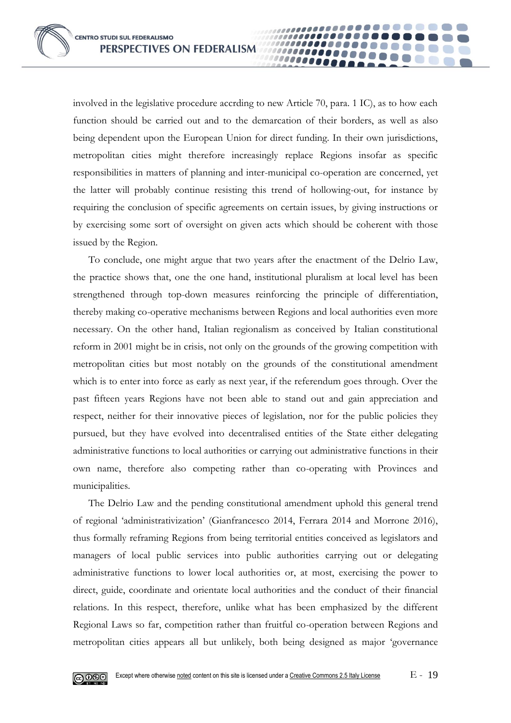involved in the legislative procedure accrding to new Article 70, para. 1 IC), as to how each function should be carried out and to the demarcation of their borders, as well as also being dependent upon the European Union for direct funding. In their own jurisdictions, metropolitan cities might therefore increasingly replace Regions insofar as specific responsibilities in matters of planning and inter-municipal co-operation are concerned, yet the latter will probably continue resisting this trend of hollowing-out, for instance by requiring the conclusion of specific agreements on certain issues, by giving instructions or by exercising some sort of oversight on given acts which should be coherent with those issued by the Region.

00000

To conclude, one might argue that two years after the enactment of the Delrio Law, the practice shows that, one the one hand, institutional pluralism at local level has been strengthened through top-down measures reinforcing the principle of differentiation, thereby making co-operative mechanisms between Regions and local authorities even more necessary. On the other hand, Italian regionalism as conceived by Italian constitutional reform in 2001 might be in crisis, not only on the grounds of the growing competition with metropolitan cities but most notably on the grounds of the constitutional amendment which is to enter into force as early as next year, if the referendum goes through. Over the past fifteen years Regions have not been able to stand out and gain appreciation and respect, neither for their innovative pieces of legislation, nor for the public policies they pursued, but they have evolved into decentralised entities of the State either delegating administrative functions to local authorities or carrying out administrative functions in their own name, therefore also competing rather than co-operating with Provinces and municipalities.

The Delrio Law and the pending constitutional amendment uphold this general trend of regional 'administrativization' (Gianfrancesco 2014, Ferrara 2014 and Morrone 2016), thus formally reframing Regions from being territorial entities conceived as legislators and managers of local public services into public authorities carrying out or delegating administrative functions to lower local authorities or, at most, exercising the power to direct, guide, coordinate and orientate local authorities and the conduct of their financial relations. In this respect, therefore, unlike what has been emphasized by the different Regional Laws so far, competition rather than fruitful co-operation between Regions and metropolitan cities appears all but unlikely, both being designed as major 'governance

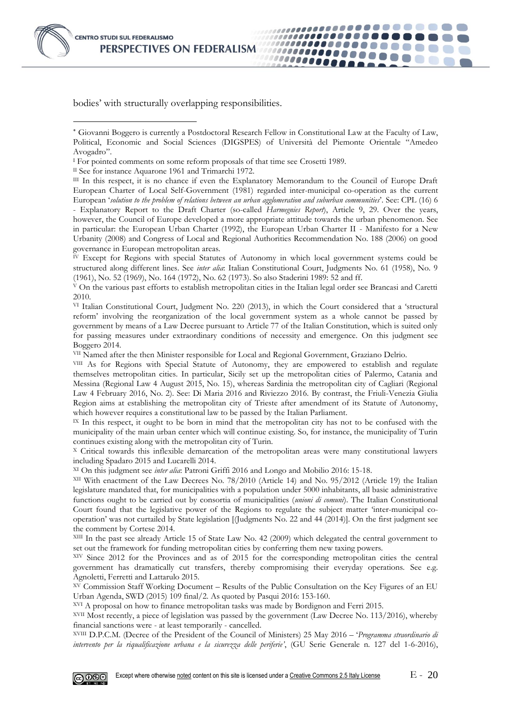

-

bodies' with structurally overlapping responsibilities.

..................

,,,,,,,,,,,,,,

,,,,,,,,,,,,,,,,,,,,

*........* 

000000000

II See for instance Aquarone 1961 and Trimarchi 1972.

III In this respect, it is no chance if even the Explanatory Memorandum to the Council of Europe Draft European Charter of Local Self-Government (1981) regarded inter-municipal co-operation as the current European '*solution to the problem of relations between an urban agglomeration and suburban communities*'. See: CPL (16) 6

- Explanatory Report to the Draft Charter (so-called *Harmegnies Report*), Article 9, 29. Over the years, however, the Council of Europe developed a more appropriate attitude towards the urban phenomenon. See in particular: the European Urban Charter (1992), the European Urban Charter II - Manifesto for a New Urbanity (2008) and Congress of Local and Regional Authorities Recommendation No. 188 (2006) on good governance in European metropolitan areas.

 $\bar{N}$  Except for Regions with special Statutes of Autonomy in which local government systems could be structured along different lines. See *inter alia*: Italian Constitutional Court, Judgments No. 61 (1958), No. 9 (1961), No. 52 (1969), No. 164 (1972), No. 62 (1973). So also Staderini 1989: 52 and ff.

<sup>V</sup> On the various past efforts to establish metropolitan cities in the Italian legal order see Brancasi and Caretti 2010.

VI Italian Constitutional Court, Judgment No. 220 (2013), in which the Court considered that a 'structural reform' involving the reorganization of the local government system as a whole cannot be passed by government by means of a Law Decree pursuant to Article 77 of the Italian Constitution, which is suited only for passing measures under extraordinary conditions of necessity and emergence. On this judgment see Boggero 2014.

VII Named after the then Minister responsible for Local and Regional Government, Graziano Delrio.

VIII As for Regions with Special Statute of Autonomy, they are empowered to establish and regulate themselves metropolitan cities. In particular, Sicily set up the metropolitan cities of Palermo, Catania and Messina (Regional Law 4 August 2015, No. 15), whereas Sardinia the metropolitan city of Cagliari (Regional Law 4 February 2016, No. 2). See: Di Maria 2016 and Riviezzo 2016. By contrast, the Friuli-Venezia Giulia Region aims at establishing the metropolitan city of Trieste after amendment of its Statute of Autonomy, which however requires a constitutional law to be passed by the Italian Parliament.

<sup>IX</sup> In this respect, it ought to be born in mind that the metropolitan city has not to be confused with the municipality of the main urban center which will continue existing. So, for instance, the municipality of Turin continues existing along with the metropolitan city of Turin.

<sup>X</sup> Critical towards this inflexible demarcation of the metropolitan areas were many constitutional lawyers including Spadaro 2015 and Lucarelli 2014.

XI On this judgment see *inter alia*: Patroni Griffi 2016 and Longo and Mobilio 2016: 15-18.

XII With enactment of the Law Decrees No. 78/2010 (Article 14) and No. 95/2012 (Article 19) the Italian legislature mandated that, for municipalities with a population under 5000 inhabitants, all basic administrative functions ought to be carried out by consortia of municipalities (*unioni di comuni*). The Italian Constitutional Court found that the legislative power of the Regions to regulate the subject matter 'inter-municipal cooperation' was not curtailed by State legislation [(Judgments No. 22 and 44 (2014)]. On the first judgment see the comment by Cortese 2014.

XIII In the past see already Article 15 of State Law No. 42 (2009) which delegated the central government to set out the framework for funding metropolitan cities by conferring them new taxing powers.

XIV Since 2012 for the Provinces and as of 2015 for the corresponding metropolitan cities the central government has dramatically cut transfers, thereby compromising their everyday operations. See e.g. Agnoletti, Ferretti and Lattarulo 2015.

XV Commission Staff Working Document – Results of the Public Consultation on the Key Figures of an EU Urban Agenda, SWD (2015) 109 final/2. As quoted by Pasqui 2016: 153-160.

XVI A proposal on how to finance metropolitan tasks was made by Bordignon and Ferri 2015.

XVII Most recently, a piece of legislation was passed by the government (Law Decree No. 113/2016), whereby financial sanctions were - at least temporarily - cancelled.

XVIII D.P.C.M. (Decree of the President of the Council of Ministers) 25 May 2016 – '*Programma straordinario di intervento per la riqualificazione urbana e la sicurezza delle periferie'*, (GU Serie Generale n. 127 del 1-6-2016),



Giovanni Boggero is currently a Postdoctoral Research Fellow in Constitutional Law at the Faculty of Law, Political, Economic and Social Sciences (DIGSPES) of Università del Piemonte Orientale "Amedeo Avogadro".

<sup>&</sup>lt;sup>I</sup> For pointed comments on some reform proposals of that time see Crosetti 1989.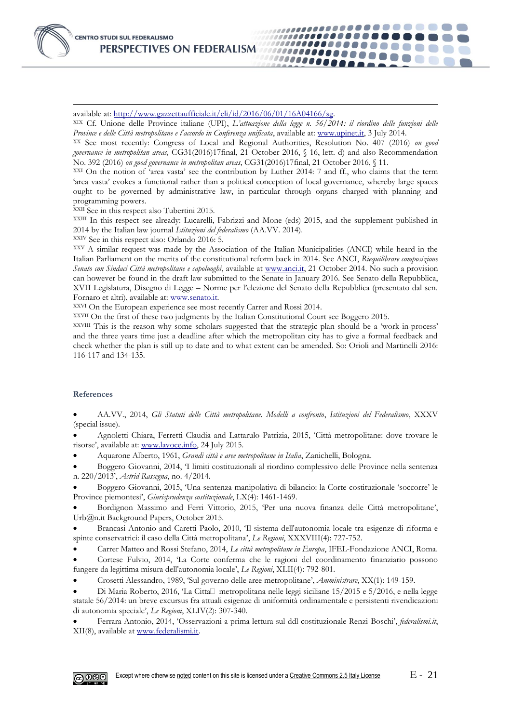

available at: [http://www.gazzettaufficiale.it/eli/id/2016/06/01/16A04166/sg.](http://www.gazzettaufficiale.it/eli/id/2016/06/01/16A04166/sg)

XIX Cf. Unione delle Province italiane (UPI), *L'attuazione della legge n. 56/2014: il riordino delle funzioni delle Province e delle Città metropolitane e l'accordo in Conferenza unificata*, available at[: www.upinet.it,](http://www.upinet.it/) 3 July 2014.

,,,,,,,,,,,,,,,,,,,,,,

...............

00000000

,,,,,,,,,,,,,,,

,,,,,,,,,,,,,,,,,,

XX See most recently: Congress of Local and Regional Authorities, Resolution No. 407 (2016) *on good governance in metropolitan areas,* CG31(2016)17final, 21 October 2016, § 16, lett. d) and also Recommendation No. 392 (2016) *on good governance in metropolitan areas*, CG31(2016)17final, 21 October 2016, § 11.

XXI On the notion of 'area vasta' see the contribution by Luther 2014: 7 and ff., who claims that the term 'area vasta' evokes a functional rather than a political conception of local governance, whereby large spaces ought to be governed by administrative law, in particular through organs charged with planning and programming powers.

XXII See in this respect also Tubertini 2015.

XXIII In this respect see already: Lucarelli, Fabrizzi and Mone (eds) 2015, and the supplement published in 2014 by the Italian law journal *Istituzioni del federalismo* (AA.VV. 2014).

XXIV See in this respect also: Orlando 2016: 5.

XXV A similar request was made by the Association of the Italian Municipalities (ANCI) while heard in the Italian Parliament on the merits of the constitutional reform back in 2014. See ANCI, *Riequilibrare composizione Senato con Sindaci Città metropolitane e capoluoghi*, available at [www.anci.it,](http://www.anci.it/) 21 October 2014. No such a provision can however be found in the draft law submitted to the Senate in January 2016. See Senato della Repubblica, XVII Legislatura, Disegno di Legge – Norme per l'elezione del Senato della Repubblica (presentato dal sen. Fornaro et altri), available at: [www.senato.it.](http://www.senato.it/)

XXVI On the European experience see most recently Carrer and Rossi 2014.

XXVII On the first of these two judgments by the Italian Constitutional Court see Boggero 2015.

XXVIII This is the reason why some scholars suggested that the strategic plan should be a 'work-in-process' and the three years time just a deadline after which the metropolitan city has to give a formal feedback and check whether the plan is still up to date and to what extent can be amended. So: Orioli and Martinelli 2016: 116-117 and 134-135.

#### **References**

 AA.VV., 2014, *Gli Statuti delle Città metropolitane. Modelli a confronto*, *Istituzioni del Federalismo*, XXXV (special issue).

 Agnoletti Chiara, Ferretti Claudia and Lattarulo Patrizia, 2015, 'Città metropolitane: dove trovare le risorse', available at[: www.lavoce.info,](http://www.lavoce.info/) 24 July 2015.

Aquarone Alberto, 1961, *Grandi città e aree metropolitane in Italia*, Zanichelli, Bologna.

 Boggero Giovanni, 2014, 'I limiti costituzionali al riordino complessivo delle Province nella sentenza n. 220/2013', *Astrid Rassegna*, no. 4/2014.

 Boggero Giovanni, 2015, 'Una sentenza manipolativa di bilancio: la Corte costituzionale 'soccorre' le Province piemontesi', *Giurisprudenza costituzionale*, LX(4): 1461-1469.

 Bordignon Massimo and Ferri Vittorio, 2015, 'Per una nuova finanza delle Città metropolitane', Urb@n.it Background Papers, October 2015.

 Brancasi Antonio and Caretti Paolo, 2010, 'Il sistema dell'autonomia locale tra esigenze di riforma e spinte conservatrici: il caso della Città metropolitana', *Le Regioni*, XXXVIII(4): 727-752.

 Carrer Matteo and Rossi Stefano, 2014, *Le città metropolitane in Europa*, IFEL-Fondazione ANCI, Roma. Cortese Fulvio, 2014, 'La Corte conferma che le ragioni del coordinamento finanziario possono

fungere da legittima misura dell'autonomia locale', *Le Regioni*, XLII(4): 792-801.

Crosetti Alessandro, 1989, 'Sul governo delle aree metropolitane', *Amministrare*, XX(1): 149-159.

Di Maria Roberto, 2016, 'La Citta□ metropolitana nelle leggi siciliane 15/2015 e 5/2016, e nella legge statale 56/2014: un breve excursus fra attuali esigenze di uniformità ordinamentale e persistenti rivendicazioni di autonomia speciale', *Le Regioni*, XLIV(2): 307-340.

 Ferrara Antonio, 2014, 'Osservazioni a prima lettura sul ddl costituzionale Renzi-Boschi', *federalismi.it*, XII(8), available at [www.federalismi.it.](http://www.federalismi.it/)